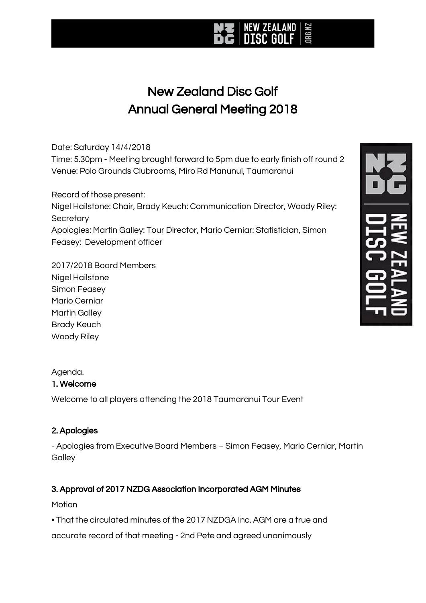## New Zealand Disc Golf Annual General Meeting 2018

IRG.NZ

#### Date: Saturday 14/4/2018

Time: 5.30pm - Meeting brought forward to 5pm due to early finish off round 2 Venue: Polo Grounds Clubrooms, Miro Rd Manunui, Taumaranui

Record of those present:

Nigel Hailstone: Chair, Brady Keuch: Communication Director, Woody Riley: **Secretary** Apologies: Martin Galley: Tour Director, Mario Cerniar: Statistician, Simon

Feasey: Development officer

2017/2018 Board Members Nigel Hailstone Simon Feasey Mario Cerniar Martin Galley Brady Keuch Woody Riley

### Agenda.

#### 1. Welcome

Welcome to all players attending the 2018 Taumaranui Tour Event

### 2. Apologies

- Apologies from Executive Board Members – Simon Feasey, Mario Cerniar, Martin **Galley** 

### 3. Approval of 2017 NZDG Association Incorporated AGM Minutes

#### **Motion**

• That the circulated minutes of the 2017 NZDGA Inc. AGM are a true and

accurate record of that meeting - 2nd Pete and agreed unanimously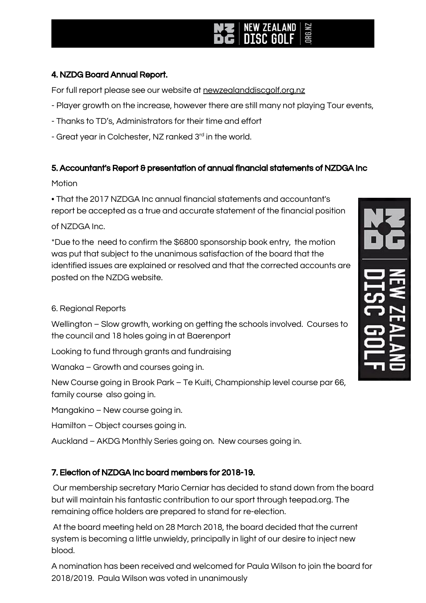#### 4. NZDG Board Annual Report.

For full report please see our website at newzealanddiscaolf.org.nz

- Player growth on the increase, however there are still many not playing Tour events,
- Thanks to TD's, Administrators for their time and effort
- Great year in Colchester, NZ ranked 3rd in the world.

#### 5. Accountant's Report & presentation of annual financial statements of NZDGA Inc

#### Motion

• That the 2017 NZDGA Inc annual financial statements and accountant's report be accepted as a true and accurate statement of the financial position of NZDGA Inc.

\*Due to the need to confirm the \$6800 sponsorship book entry, the motion was put that subject to the unanimous satisfaction of the board that the identified issues are explained or resolved and that the corrected accounts are posted on the NZDG website.

#### 6. Regional Reports

Wellington – Slow growth, working on getting the schools involved. Courses to the council and 18 holes going in at Baerenport

Looking to fund through grants and fundraising

Wanaka – Growth and courses going in.

New Course going in Brook Park – Te Kuiti, Championship level course par 66, family course also going in.

Mangakino – New course going in.

Hamilton – Object courses going in.

Auckland – AKDG Monthly Series going on. New courses going in.

### 7. Election of NZDGA Inc board members for 2018-19.

Our membership secretary Mario Cerniar has decided to stand down from the board but will maintain his fantastic contribution to our sport through teepad.org. The remaining office holders are prepared to stand for re-election.

At the board meeting held on 28 March 2018, the board decided that the current system is becoming a little unwieldy, principally in light of our desire to inject new blood.

A nomination has been received and welcomed for Paula Wilson to join the board for 2018/2019. Paula Wilson was voted in unanimously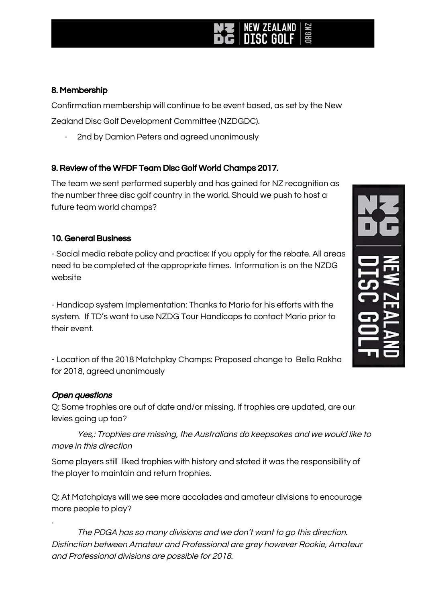### 8. Membership

Confirmation membership will continue to be event based, as set by the New Zealand Disc Golf Development Committee (NZDGDC).

2nd by Damion Peters and agreed unanimously

### 9. Review of the WFDF Team Disc Golf World Champs 2017.

The team we sent performed superbly and has gained for NZ recognition as the number three disc golf country in the world. Should we push to host a future team world champs?

### 10. General Business

- Social media rebate policy and practice: If you apply for the rebate. All areas need to be completed at the appropriate times. Information is on the NZDG website

- Handicap system Implementation: Thanks to Mario for his efforts with the system. If TD's want to use NZDG Tour Handicaps to contact Mario prior to their event.

- Location of the 2018 Matchplay Champs: Proposed change to Bella Rakha for 2018, agreed unanimously

### Open questions

.

Q: Some trophies are out of date and/or missing. If trophies are updated, are our levies going up too?

Yes,: Trophies are missing, the Australians do keepsakes and we would like to move in this direction

Some players still liked trophies with history and stated it was the responsibility of the player to maintain and return trophies.

Q: At Matchplays will we see more accolades and amateur divisions to encourage more people to play?

The PDGA has so many divisions and we don't want to go this direction. Distinction between Amateur and Professional are grey however Rookie, Amateur and Professional divisions are possible for 2018.

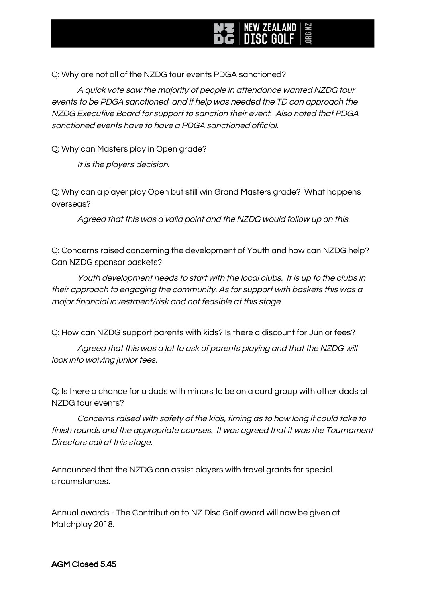Q: Why are not all of the NZDG tour events PDGA sanctioned?

A quick vote saw the majority of people in attendance wanted NZDG tour events to be PDGA sanctioned and if help was needed the TD can approach the NZDG Executive Board for support to sanction their event. Also noted that PDGA sanctioned events have to have a PDGA sanctioned official.

Q: Why can Masters play in Open grade?

It is the players decision.

Q: Why can a player play Open but still win Grand Masters grade? What happens overseas?

Agreed that this was <sup>a</sup> valid point and the NZDG would follow up on this.

Q: Concerns raised concerning the development of Youth and how can NZDG help? Can NZDG sponsor baskets?

Youth development needs to start with the local clubs. It is up to the clubs in their approach to engaging the community. As for support with baskets this was <sup>a</sup> major financial investment/risk and not feasible at this stage

Q: How can NZDG support parents with kids? Is there a discount for Junior fees?

Agreed that this was <sup>a</sup> lot to ask of parents playing and that the NZDG will look into waiving junior fees.

Q: Is there a chance for a dads with minors to be on a card group with other dads at NZDG tour events?

Concerns raised with safety of the kids, timing as to how long it could take to finish rounds and the appropriate courses. It was agreed that it was the Tournament Directors call at this stage.

Announced that the NZDG can assist players with travel grants for special circumstances.

Annual awards - The Contribution to NZ Disc Golf award will now be given at Matchplay 2018.

AGM Closed 5.45